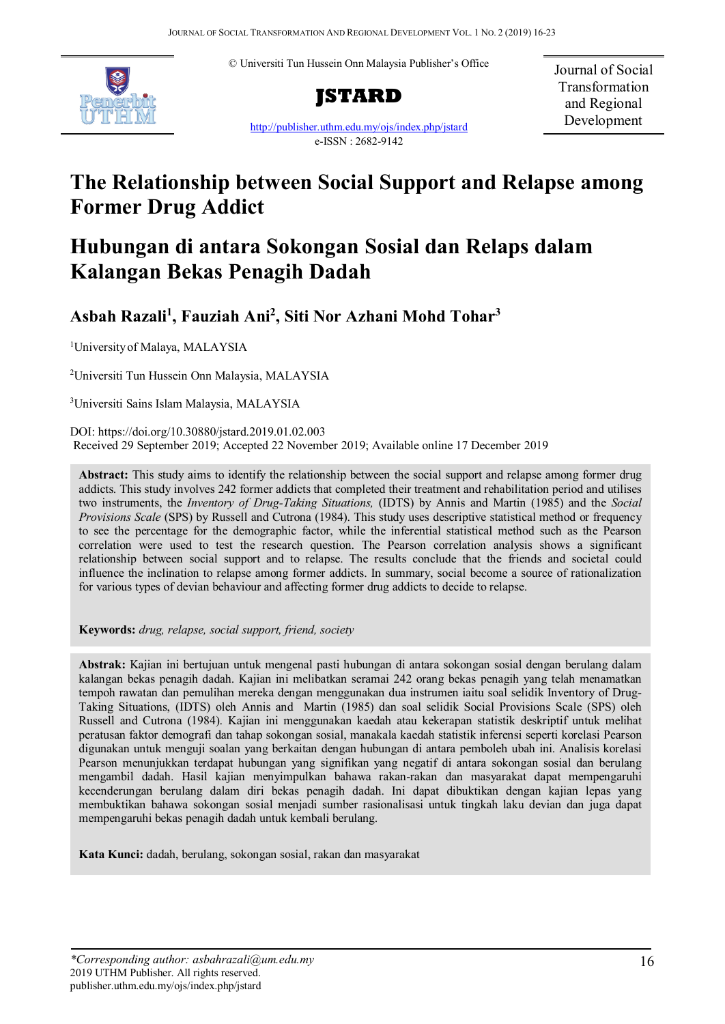© Universiti Tun Hussein Onn Malaysia Publisher's Office





<http://publisher.uthm.edu.my/ojs/index.php/jstard> e-ISSN : 2682-9142

Journal of Social Transformation and Regional Development

# **The Relationship between Social Support and Relapse among Former Drug Addict**

## **Hubungan di antara Sokongan Sosial dan Relaps dalam Kalangan Bekas Penagih Dadah**

### **Asbah Razali1 , Fauziah Ani2 , Siti Nor Azhani Mohd Tohar3**

1 Universityof Malaya, MALAYSIA

2 Universiti Tun Hussein Onn Malaysia, MALAYSIA

3 Universiti Sains Islam Malaysia, MALAYSIA

DOI: https://doi.org/10.30880/jstard.2019.01.02.003 Received 29 September 2019; Accepted 22 November 2019; Available online 17 December 2019

**Abstract:** This study aims to identify the relationship between the social support and relapse among former drug addicts. This study involves 242 former addicts that completed their treatment and rehabilitation period and utilises two instruments, the *Inventory of Drug-Taking Situations,* (IDTS) by Annis and Martin (1985) and the *Social Provisions Scale* (SPS) by Russell and Cutrona (1984). This study uses descriptive statistical method or frequency to see the percentage for the demographic factor, while the inferential statistical method such as the Pearson correlation were used to test the research question. The Pearson correlation analysis shows a significant relationship between social support and to relapse. The results conclude that the friends and societal could influence the inclination to relapse among former addicts. In summary, social become a source of rationalization for various types of devian behaviour and affecting former drug addicts to decide to relapse.

**Keywords:** *drug, relapse, social support, friend, society*

**Abstrak:** Kajian ini bertujuan untuk mengenal pasti hubungan di antara sokongan sosial dengan berulang dalam kalangan bekas penagih dadah. Kajian ini melibatkan seramai 242 orang bekas penagih yang telah menamatkan tempoh rawatan dan pemulihan mereka dengan menggunakan dua instrumen iaitu soal selidik Inventory of Drug-Taking Situations, (IDTS) oleh Annis and Martin (1985) dan soal selidik Social Provisions Scale (SPS) oleh Russell and Cutrona (1984). Kajian ini menggunakan kaedah atau kekerapan statistik deskriptif untuk melihat peratusan faktor demografi dan tahap sokongan sosial, manakala kaedah statistik inferensi seperti korelasi Pearson digunakan untuk menguji soalan yang berkaitan dengan hubungan di antara pemboleh ubah ini. Analisis korelasi Pearson menunjukkan terdapat hubungan yang signifikan yang negatif di antara sokongan sosial dan berulang mengambil dadah. Hasil kajian menyimpulkan bahawa rakan-rakan dan masyarakat dapat mempengaruhi kecenderungan berulang dalam diri bekas penagih dadah. Ini dapat dibuktikan dengan kajian lepas yang membuktikan bahawa sokongan sosial menjadi sumber rasionalisasi untuk tingkah laku devian dan juga dapat mempengaruhi bekas penagih dadah untuk kembali berulang.

**Kata Kunci:** dadah, berulang, sokongan sosial, rakan dan masyarakat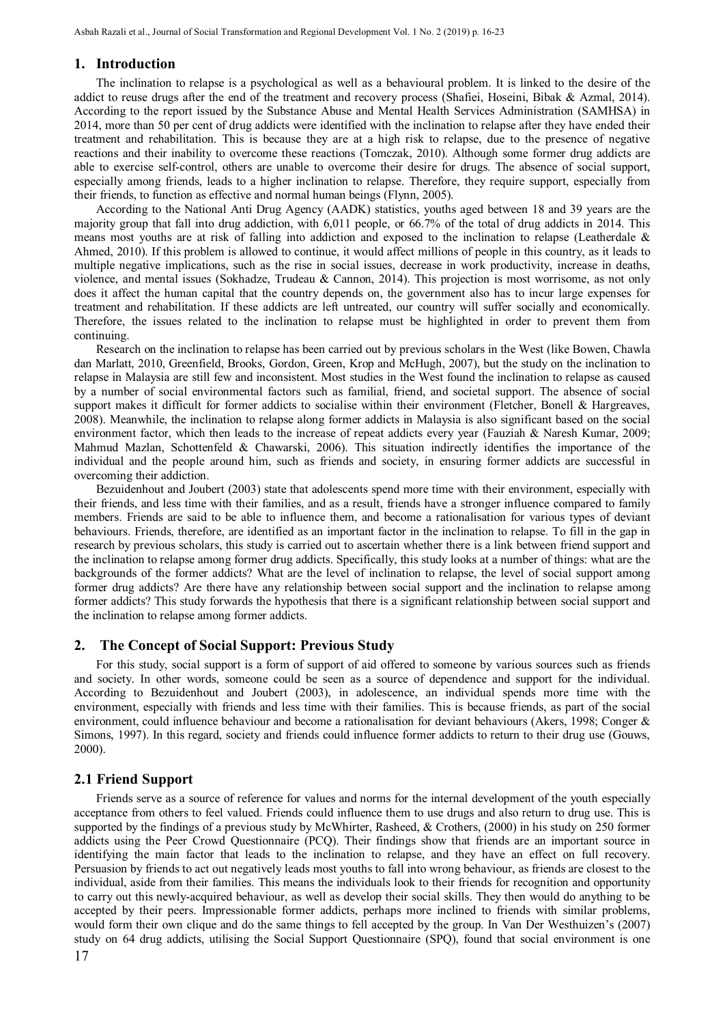#### **1. Introduction**

The inclination to relapse is a psychological as well as a behavioural problem. It is linked to the desire of the addict to reuse drugs after the end of the treatment and recovery process (Shafiei, Hoseini, Bibak & Azmal, 2014). According to the report issued by the Substance Abuse and Mental Health Services Administration (SAMHSA) in 2014, more than 50 per cent of drug addicts were identified with the inclination to relapse after they have ended their treatment and rehabilitation. This is because they are at a high risk to relapse, due to the presence of negative reactions and their inability to overcome these reactions (Tomczak, 2010). Although some former drug addicts are able to exercise self-control, others are unable to overcome their desire for drugs. The absence of social support, especially among friends, leads to a higher inclination to relapse. Therefore, they require support, especially from their friends, to function as effective and normal human beings (Flynn, 2005).

According to the National Anti Drug Agency (AADK) statistics, youths aged between 18 and 39 years are the majority group that fall into drug addiction, with 6,011 people, or 66.7% of the total of drug addicts in 2014. This means most youths are at risk of falling into addiction and exposed to the inclination to relapse (Leatherdale & Ahmed, 2010). If this problem is allowed to continue, it would affect millions of people in this country, as it leads to multiple negative implications, such as the rise in social issues, decrease in work productivity, increase in deaths, violence, and mental issues (Sokhadze, Trudeau & Cannon, 2014). This projection is most worrisome, as not only does it affect the human capital that the country depends on, the government also has to incur large expenses for treatment and rehabilitation. If these addicts are left untreated, our country will suffer socially and economically. Therefore, the issues related to the inclination to relapse must be highlighted in order to prevent them from continuing.

Research on the inclination to relapse has been carried out by previous scholars in the West (like Bowen, Chawla dan Marlatt, 2010, Greenfield, Brooks, Gordon, Green, Krop and McHugh, 2007), but the study on the inclination to relapse in Malaysia are still few and inconsistent. Most studies in the West found the inclination to relapse as caused by a number of social environmental factors such as familial, friend, and societal support. The absence of social support makes it difficult for former addicts to socialise within their environment (Fletcher, Bonell & Hargreaves, 2008). Meanwhile, the inclination to relapse along former addicts in Malaysia is also significant based on the social environment factor, which then leads to the increase of repeat addicts every year (Fauziah & Naresh Kumar, 2009; Mahmud Mazlan, Schottenfeld & Chawarski, 2006). This situation indirectly identifies the importance of the individual and the people around him, such as friends and society, in ensuring former addicts are successful in overcoming their addiction.

Bezuidenhout and Joubert (2003) state that adolescents spend more time with their environment, especially with their friends, and less time with their families, and as a result, friends have a stronger influence compared to family members. Friends are said to be able to influence them, and become a rationalisation for various types of deviant behaviours. Friends, therefore, are identified as an important factor in the inclination to relapse. To fill in the gap in research by previous scholars, this study is carried out to ascertain whether there is a link between friend support and the inclination to relapse among former drug addicts. Specifically, this study looks at a number of things: what are the backgrounds of the former addicts? What are the level of inclination to relapse, the level of social support among former drug addicts? Are there have any relationship between social support and the inclination to relapse among former addicts? This study forwards the hypothesis that there is a significant relationship between social support and the inclination to relapse among former addicts.

#### **2. The Concept of Social Support: Previous Study**

For this study, social support is a form of support of aid offered to someone by various sources such as friends and society. In other words, someone could be seen as a source of dependence and support for the individual. According to Bezuidenhout and Joubert (2003), in adolescence, an individual spends more time with the environment, especially with friends and less time with their families. This is because friends, as part of the social environment, could influence behaviour and become a rationalisation for deviant behaviours (Akers, 1998; Conger & Simons, 1997). In this regard, society and friends could influence former addicts to return to their drug use (Gouws, 2000).

#### **2.1 Friend Support**

Friends serve as a source of reference for values and norms for the internal development of the youth especially acceptance from others to feel valued. Friends could influence them to use drugs and also return to drug use. This is supported by the findings of a previous study by McWhirter, Rasheed, & Crothers, (2000) in his study on 250 former addicts using the Peer Crowd Questionnaire (PCQ). Their findings show that friends are an important source in identifying the main factor that leads to the inclination to relapse, and they have an effect on full recovery. Persuasion by friends to act out negatively leads most youths to fall into wrong behaviour, as friends are closest to the individual, aside from their families. This means the individuals look to their friends for recognition and opportunity to carry out this newly-acquired behaviour, as well as develop their social skills. They then would do anything to be accepted by their peers. Impressionable former addicts, perhaps more inclined to friends with similar problems, would form their own clique and do the same things to fell accepted by the group. In Van Der Westhuizen's (2007) study on 64 drug addicts, utilising the Social Support Questionnaire (SPQ), found that social environment is one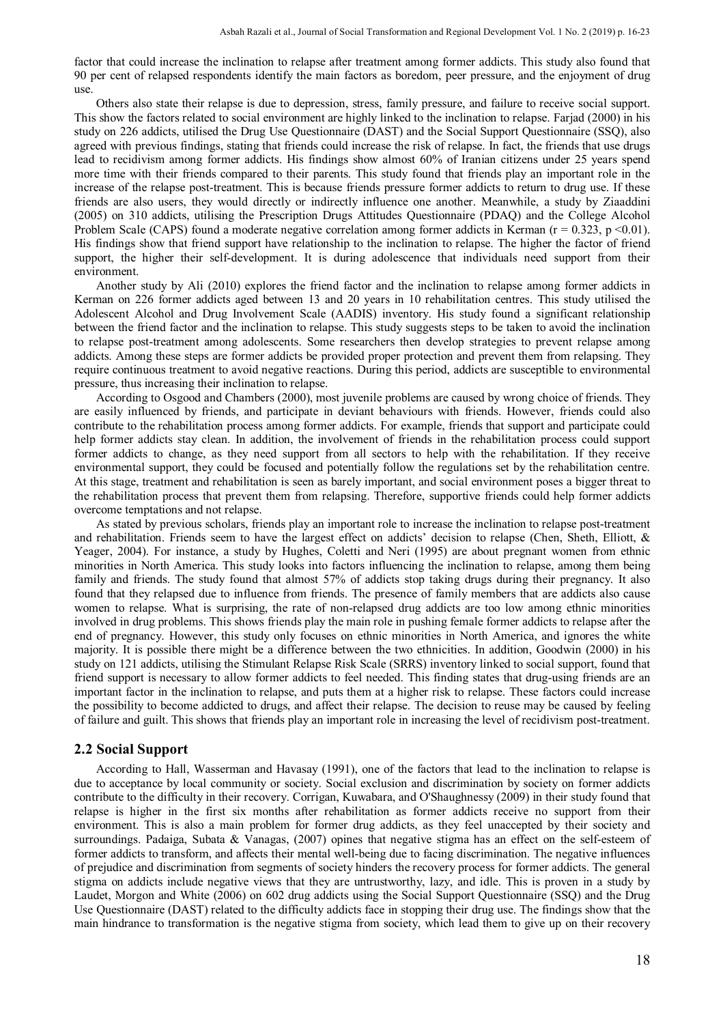factor that could increase the inclination to relapse after treatment among former addicts. This study also found that 90 per cent of relapsed respondents identify the main factors as boredom, peer pressure, and the enjoyment of drug use.

Others also state their relapse is due to depression, stress, family pressure, and failure to receive social support. This show the factors related to social environment are highly linked to the inclination to relapse. Farjad (2000) in his study on 226 addicts, utilised the Drug Use Questionnaire (DAST) and the Social Support Questionnaire (SSQ), also agreed with previous findings, stating that friends could increase the risk of relapse. In fact, the friends that use drugs lead to recidivism among former addicts. His findings show almost 60% of Iranian citizens under 25 years spend more time with their friends compared to their parents. This study found that friends play an important role in the increase of the relapse post-treatment. This is because friends pressure former addicts to return to drug use. If these friends are also users, they would directly or indirectly influence one another. Meanwhile, a study by Ziaaddini (2005) on 310 addicts, utilising the Prescription Drugs Attitudes Questionnaire (PDAQ) and the College Alcohol Problem Scale (CAPS) found a moderate negative correlation among former addicts in Kerman ( $r = 0.323$ ,  $p \le 0.01$ ). His findings show that friend support have relationship to the inclination to relapse. The higher the factor of friend support, the higher their self-development. It is during adolescence that individuals need support from their environment.

Another study by Ali (2010) explores the friend factor and the inclination to relapse among former addicts in Kerman on 226 former addicts aged between 13 and 20 years in 10 rehabilitation centres. This study utilised the Adolescent Alcohol and Drug Involvement Scale (AADIS) inventory. His study found a significant relationship between the friend factor and the inclination to relapse. This study suggests steps to be taken to avoid the inclination to relapse post-treatment among adolescents. Some researchers then develop strategies to prevent relapse among addicts. Among these steps are former addicts be provided proper protection and prevent them from relapsing. They require continuous treatment to avoid negative reactions. During this period, addicts are susceptible to environmental pressure, thus increasing their inclination to relapse.

According to Osgood and Chambers (2000), most juvenile problems are caused by wrong choice of friends. They are easily influenced by friends, and participate in deviant behaviours with friends. However, friends could also contribute to the rehabilitation process among former addicts. For example, friends that support and participate could help former addicts stay clean. In addition, the involvement of friends in the rehabilitation process could support former addicts to change, as they need support from all sectors to help with the rehabilitation. If they receive environmental support, they could be focused and potentially follow the regulations set by the rehabilitation centre. At this stage, treatment and rehabilitation is seen as barely important, and social environment poses a bigger threat to the rehabilitation process that prevent them from relapsing. Therefore, supportive friends could help former addicts overcome temptations and not relapse.

As stated by previous scholars, friends play an important role to increase the inclination to relapse post-treatment and rehabilitation. Friends seem to have the largest effect on addicts' decision to relapse (Chen, Sheth, Elliott, & Yeager, 2004). For instance, a study by Hughes, Coletti and Neri (1995) are about pregnant women from ethnic minorities in North America. This study looks into factors influencing the inclination to relapse, among them being family and friends. The study found that almost 57% of addicts stop taking drugs during their pregnancy. It also found that they relapsed due to influence from friends. The presence of family members that are addicts also cause women to relapse. What is surprising, the rate of non-relapsed drug addicts are too low among ethnic minorities involved in drug problems. This shows friends play the main role in pushing female former addicts to relapse after the end of pregnancy. However, this study only focuses on ethnic minorities in North America, and ignores the white majority. It is possible there might be a difference between the two ethnicities. In addition, Goodwin (2000) in his study on 121 addicts, utilising the Stimulant Relapse Risk Scale (SRRS) inventory linked to social support, found that friend support is necessary to allow former addicts to feel needed. This finding states that drug-using friends are an important factor in the inclination to relapse, and puts them at a higher risk to relapse. These factors could increase the possibility to become addicted to drugs, and affect their relapse. The decision to reuse may be caused by feeling of failure and guilt. This shows that friends play an important role in increasing the level of recidivism post-treatment.

#### **2.2 Social Support**

According to Hall, Wasserman and Havasay (1991), one of the factors that lead to the inclination to relapse is due to acceptance by local community or society. Social exclusion and discrimination by society on former addicts contribute to the difficulty in their recovery. Corrigan, Kuwabara, and O'Shaughnessy (2009) in their study found that relapse is higher in the first six months after rehabilitation as former addicts receive no support from their environment. This is also a main problem for former drug addicts, as they feel unaccepted by their society and surroundings. Padaiga, Subata & Vanagas, (2007) opines that negative stigma has an effect on the self-esteem of former addicts to transform, and affects their mental well-being due to facing discrimination. The negative influences of prejudice and discrimination from segments of society hinders the recovery process for former addicts. The general stigma on addicts include negative views that they are untrustworthy, lazy, and idle. This is proven in a study by Laudet, Morgon and White (2006) on 602 drug addicts using the Social Support Questionnaire (SSQ) and the Drug Use Questionnaire (DAST) related to the difficulty addicts face in stopping their drug use. The findings show that the main hindrance to transformation is the negative stigma from society, which lead them to give up on their recovery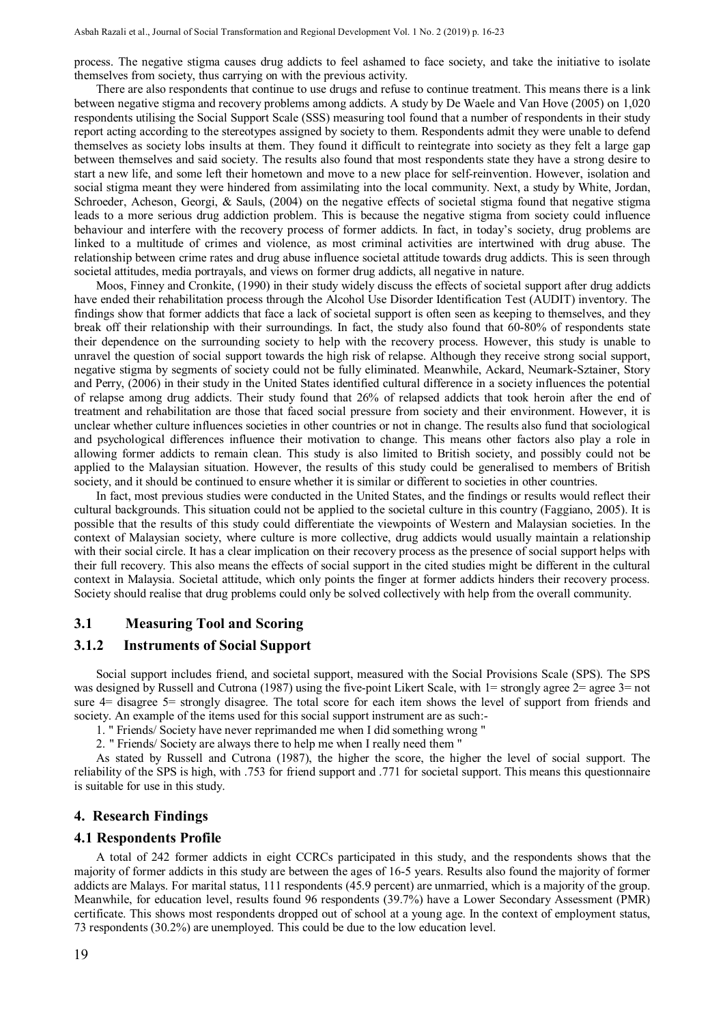process. The negative stigma causes drug addicts to feel ashamed to face society, and take the initiative to isolate themselves from society, thus carrying on with the previous activity.

There are also respondents that continue to use drugs and refuse to continue treatment. This means there is a link between negative stigma and recovery problems among addicts. A study by De Waele and Van Hove (2005) on 1,020 respondents utilising the Social Support Scale (SSS) measuring tool found that a number of respondents in their study report acting according to the stereotypes assigned by society to them. Respondents admit they were unable to defend themselves as society lobs insults at them. They found it difficult to reintegrate into society as they felt a large gap between themselves and said society. The results also found that most respondents state they have a strong desire to start a new life, and some left their hometown and move to a new place for self-reinvention. However, isolation and social stigma meant they were hindered from assimilating into the local community. Next, a study by White, Jordan, Schroeder, Acheson, Georgi, & Sauls, (2004) on the negative effects of societal stigma found that negative stigma leads to a more serious drug addiction problem. This is because the negative stigma from society could influence behaviour and interfere with the recovery process of former addicts. In fact, in today's society, drug problems are linked to a multitude of crimes and violence, as most criminal activities are intertwined with drug abuse. The relationship between crime rates and drug abuse influence societal attitude towards drug addicts. This is seen through societal attitudes, media portrayals, and views on former drug addicts, all negative in nature.

Moos, Finney and Cronkite, (1990) in their study widely discuss the effects of societal support after drug addicts have ended their rehabilitation process through the Alcohol Use Disorder Identification Test (AUDIT) inventory. The findings show that former addicts that face a lack of societal support is often seen as keeping to themselves, and they break off their relationship with their surroundings. In fact, the study also found that 60-80% of respondents state their dependence on the surrounding society to help with the recovery process. However, this study is unable to unravel the question of social support towards the high risk of relapse. Although they receive strong social support, negative stigma by segments of society could not be fully eliminated. Meanwhile, Ackard, Neumark-Sztainer, Story and Perry, (2006) in their study in the United States identified cultural difference in a society influences the potential of relapse among drug addicts. Their study found that 26% of relapsed addicts that took heroin after the end of treatment and rehabilitation are those that faced social pressure from society and their environment. However, it is unclear whether culture influences societies in other countries or not in change. The results also fund that sociological and psychological differences influence their motivation to change. This means other factors also play a role in allowing former addicts to remain clean. This study is also limited to British society, and possibly could not be applied to the Malaysian situation. However, the results of this study could be generalised to members of British society, and it should be continued to ensure whether it is similar or different to societies in other countries.

In fact, most previous studies were conducted in the United States, and the findings or results would reflect their cultural backgrounds. This situation could not be applied to the societal culture in this country (Faggiano, 2005). It is possible that the results of this study could differentiate the viewpoints of Western and Malaysian societies. In the context of Malaysian society, where culture is more collective, drug addicts would usually maintain a relationship with their social circle. It has a clear implication on their recovery process as the presence of social support helps with their full recovery. This also means the effects of social support in the cited studies might be different in the cultural context in Malaysia. Societal attitude, which only points the finger at former addicts hinders their recovery process. Society should realise that drug problems could only be solved collectively with help from the overall community.

#### **3.1 Measuring Tool and Scoring**

#### **3.1.2 Instruments of Social Support**

Social support includes friend, and societal support, measured with the Social Provisions Scale (SPS). The SPS was designed by Russell and Cutrona (1987) using the five-point Likert Scale, with 1= strongly agree 2= agree 3= not sure 4= disagree 5= strongly disagree. The total score for each item shows the level of support from friends and society. An example of the items used for this social support instrument are as such:-

- 1. " Friends/ Society have never reprimanded me when I did something wrong "
- 2. " Friends/ Society are always there to help me when I really need them "

As stated by Russell and Cutrona (1987), the higher the score, the higher the level of social support. The reliability of the SPS is high, with .753 for friend support and .771 for societal support. This means this questionnaire is suitable for use in this study.

#### **4. Research Findings**

#### **4.1 Respondents Profile**

A total of 242 former addicts in eight CCRCs participated in this study, and the respondents shows that the majority of former addicts in this study are between the ages of 16-5 years. Results also found the majority of former addicts are Malays. For marital status, 111 respondents (45.9 percent) are unmarried, which is a majority of the group. Meanwhile, for education level, results found 96 respondents (39.7%) have a Lower Secondary Assessment (PMR) certificate. This shows most respondents dropped out of school at a young age. In the context of employment status, 73 respondents (30.2%) are unemployed. This could be due to the low education level.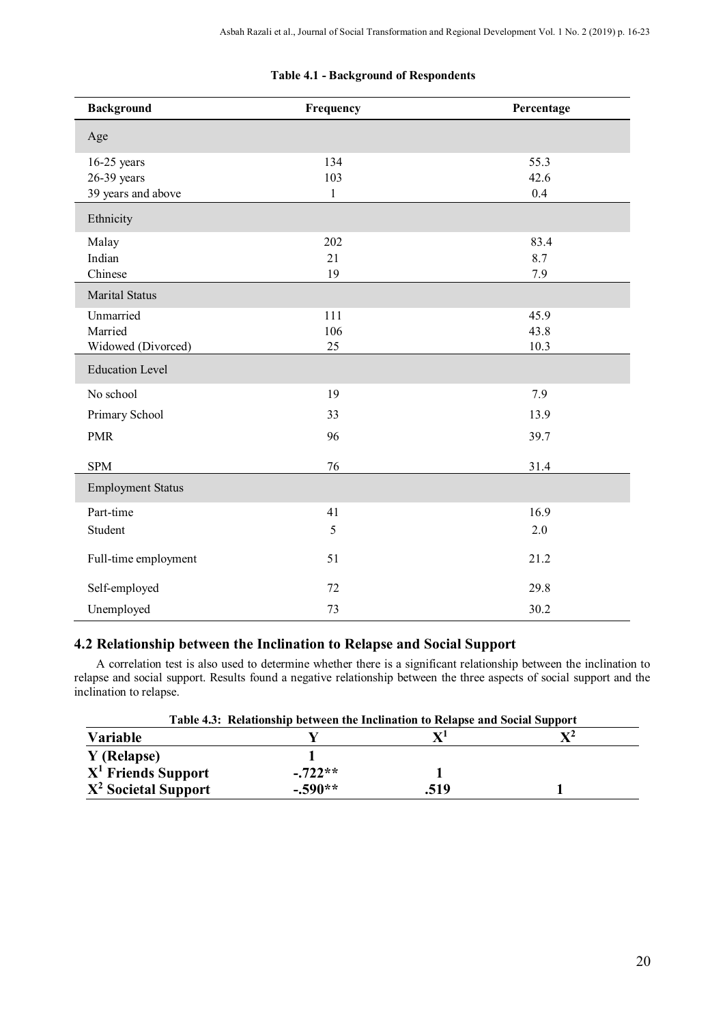| <b>Background</b>        | Frequency    | Percentage |
|--------------------------|--------------|------------|
| Age                      |              |            |
| $16-25$ years            | 134          | 55.3       |
| $26-39$ years            | 103          | 42.6       |
| 39 years and above       | $\mathbf{1}$ | 0.4        |
| Ethnicity                |              |            |
| Malay                    | 202          | 83.4       |
| Indian                   | 21           | 8.7        |
| Chinese                  | 19           | 7.9        |
| <b>Marital Status</b>    |              |            |
| Unmarried                | 111          | 45.9       |
| Married                  | 106          | 43.8       |
| Widowed (Divorced)       | 25           | 10.3       |
| <b>Education Level</b>   |              |            |
| No school                | 19           | 7.9        |
| Primary School           | 33           | 13.9       |
| <b>PMR</b>               | 96           | 39.7       |
| <b>SPM</b>               | 76           | 31.4       |
| <b>Employment Status</b> |              |            |
| Part-time                | 41           | 16.9       |
| Student                  | 5            | 2.0        |
| Full-time employment     | 51           | 21.2       |
| Self-employed            | 72           | 29.8       |
| Unemployed               | 73           | 30.2       |

#### **Table 4.1 - Background of Respondents**

### **4.2 Relationship between the Inclination to Relapse and Social Support**

A correlation test is also used to determine whether there is a significant relationship between the inclination to relapse and social support. Results found a negative relationship between the three aspects of social support and the inclination to relapse.

| Table 4.3: Relationship between the Inclination to Relapse and Social Support |           |      |                |
|-------------------------------------------------------------------------------|-----------|------|----------------|
| Variable                                                                      |           |      | $\mathbf{V}^2$ |
| Y (Relapse)                                                                   |           |      |                |
| $X1$ Friends Support                                                          | $-.722**$ |      |                |
| $X2$ Societal Support                                                         | $-.590**$ | .519 |                |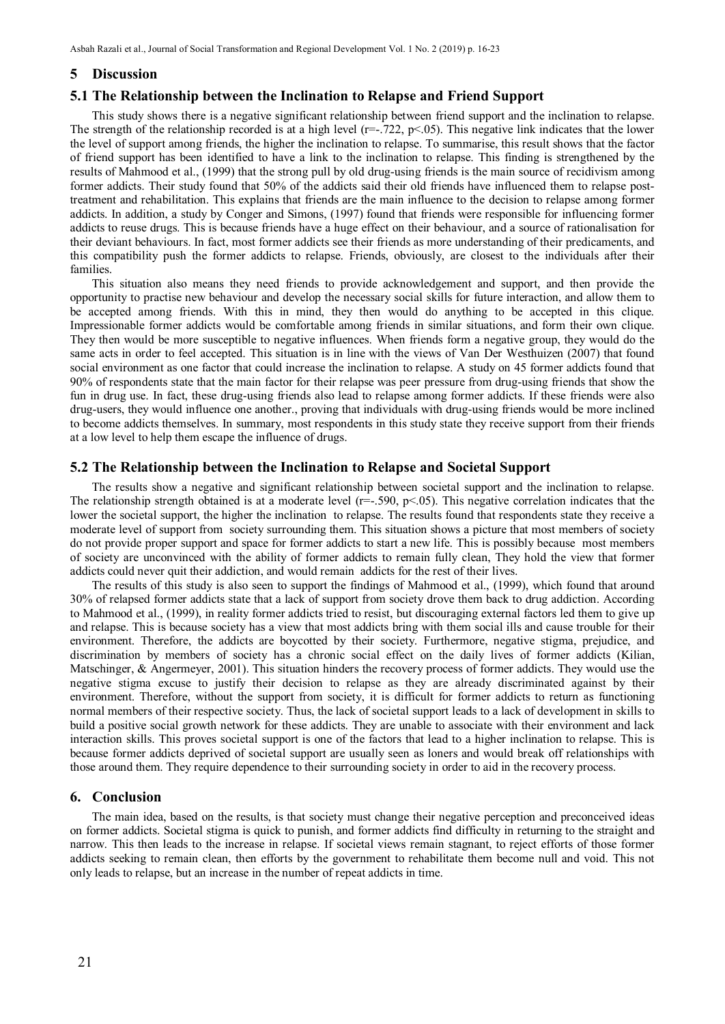#### **5 Discussion**

#### **5.1 The Relationship between the Inclination to Relapse and Friend Support**

This study shows there is a negative significant relationship between friend support and the inclination to relapse. The strength of the relationship recorded is at a high level  $(r=-.722, p<.05)$ . This negative link indicates that the lower the level of support among friends, the higher the inclination to relapse. To summarise, this result shows that the factor of friend support has been identified to have a link to the inclination to relapse. This finding is strengthened by the results of Mahmood et al., (1999) that the strong pull by old drug-using friends is the main source of recidivism among former addicts. Their study found that 50% of the addicts said their old friends have influenced them to relapse posttreatment and rehabilitation. This explains that friends are the main influence to the decision to relapse among former addicts. In addition, a study by Conger and Simons, (1997) found that friends were responsible for influencing former addicts to reuse drugs. This is because friends have a huge effect on their behaviour, and a source of rationalisation for their deviant behaviours. In fact, most former addicts see their friends as more understanding of their predicaments, and this compatibility push the former addicts to relapse. Friends, obviously, are closest to the individuals after their families.

This situation also means they need friends to provide acknowledgement and support, and then provide the opportunity to practise new behaviour and develop the necessary social skills for future interaction, and allow them to be accepted among friends. With this in mind, they then would do anything to be accepted in this clique. Impressionable former addicts would be comfortable among friends in similar situations, and form their own clique. They then would be more susceptible to negative influences. When friends form a negative group, they would do the same acts in order to feel accepted. This situation is in line with the views of Van Der Westhuizen (2007) that found social environment as one factor that could increase the inclination to relapse. A study on 45 former addicts found that 90% of respondents state that the main factor for their relapse was peer pressure from drug-using friends that show the fun in drug use. In fact, these drug-using friends also lead to relapse among former addicts. If these friends were also drug-users, they would influence one another., proving that individuals with drug-using friends would be more inclined to become addicts themselves. In summary, most respondents in this study state they receive support from their friends at a low level to help them escape the influence of drugs.

#### **5.2 The Relationship between the Inclination to Relapse and Societal Support**

The results show a negative and significant relationship between societal support and the inclination to relapse. The relationship strength obtained is at a moderate level ( $r=-.590$ ,  $p<.05$ ). This negative correlation indicates that the lower the societal support, the higher the inclination to relapse. The results found that respondents state they receive a moderate level of support from society surrounding them. This situation shows a picture that most members of society do not provide proper support and space for former addicts to start a new life. This is possibly because most members of society are unconvinced with the ability of former addicts to remain fully clean, They hold the view that former addicts could never quit their addiction, and would remain addicts for the rest of their lives.

The results of this study is also seen to support the findings of Mahmood et al., (1999), which found that around 30% of relapsed former addicts state that a lack of support from society drove them back to drug addiction. According to Mahmood et al., (1999), in reality former addicts tried to resist, but discouraging external factors led them to give up and relapse. This is because society has a view that most addicts bring with them social ills and cause trouble for their environment. Therefore, the addicts are boycotted by their society. Furthermore, negative stigma, prejudice, and discrimination by members of society has a chronic social effect on the daily lives of former addicts (Kilian, Matschinger, & Angermeyer, 2001). This situation hinders the recovery process of former addicts. They would use the negative stigma excuse to justify their decision to relapse as they are already discriminated against by their environment. Therefore, without the support from society, it is difficult for former addicts to return as functioning normal members of their respective society. Thus, the lack of societal support leads to a lack of development in skills to build a positive social growth network for these addicts. They are unable to associate with their environment and lack interaction skills. This proves societal support is one of the factors that lead to a higher inclination to relapse. This is because former addicts deprived of societal support are usually seen as loners and would break off relationships with those around them. They require dependence to their surrounding society in order to aid in the recovery process.

#### **6. Conclusion**

The main idea, based on the results, is that society must change their negative perception and preconceived ideas on former addicts. Societal stigma is quick to punish, and former addicts find difficulty in returning to the straight and narrow. This then leads to the increase in relapse. If societal views remain stagnant, to reject efforts of those former addicts seeking to remain clean, then efforts by the government to rehabilitate them become null and void. This not only leads to relapse, but an increase in the number of repeat addicts in time.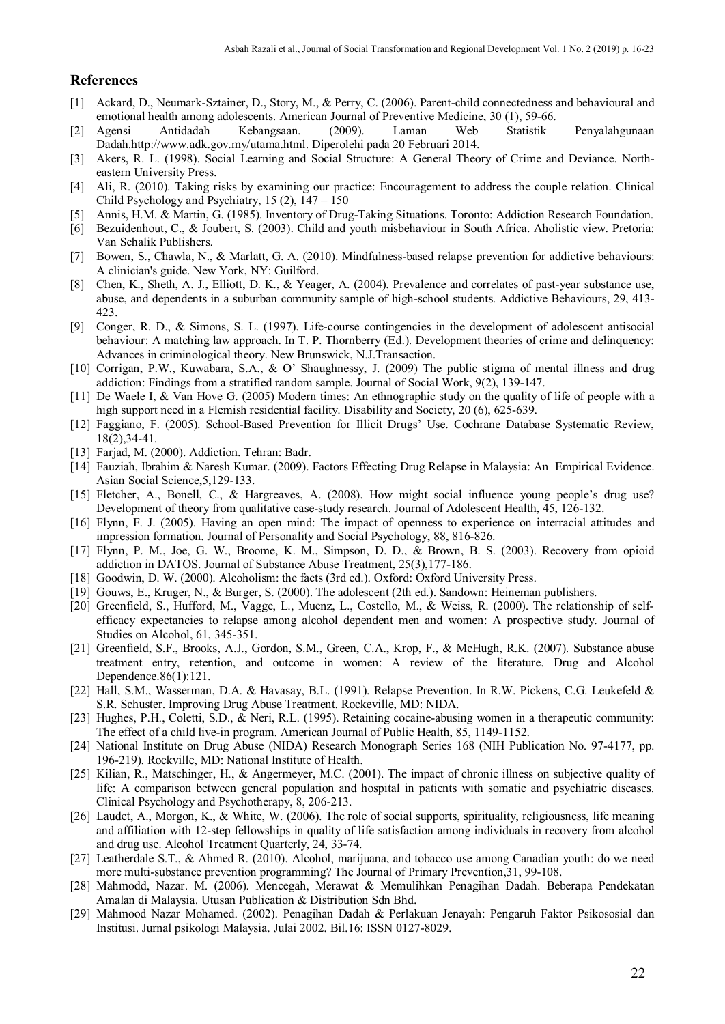#### **References**

- [1] Ackard, D., Neumark-Sztainer, D., Story, M., & Perry, C. (2006). Parent-child connectedness and behavioural and emotional health among adolescents. American Journal of Preventive Medicine, 30 (1), 59-66.
- [2] Agensi Antidadah Kebangsaan. (2009). Laman Web Statistik Penyalahgunaan Dadah.http://www.adk.gov.my/utama.html. Diperolehi pada 20 Februari 2014.
- [3] Akers, R. L. (1998). Social Learning and Social Structure: A General Theory of Crime and Deviance. Northeastern University Press.
- [4] Ali, R. (2010). Taking risks by examining our practice: Encouragement to address the couple relation. Clinical Child Psychology and Psychiatry,  $15(2)$ ,  $147 - 150$
- [5] Annis, H.M. & Martin, G. (1985). Inventory of Drug-Taking Situations. Toronto: Addiction Research Foundation.
- [6] Bezuidenhout, C., & Joubert, S. (2003). Child and youth misbehaviour in South Africa. Aholistic view. Pretoria: Van Schalik Publishers.
- [7] Bowen, S., Chawla, N., & Marlatt, G. A. (2010). Mindfulness-based relapse prevention for addictive behaviours: A clinician's guide. New York, NY: Guilford.
- [8] Chen, K., Sheth, A. J., Elliott, D. K., & Yeager, A. (2004). Prevalence and correlates of past-year substance use, abuse, and dependents in a suburban community sample of high-school students. Addictive Behaviours, 29, 413- 423.
- [9] Conger, R. D., & Simons, S. L. (1997). Life-course contingencies in the development of adolescent antisocial behaviour: A matching law approach. In T. P. Thornberry (Ed.). Development theories of crime and delinquency: Advances in criminological theory. New Brunswick, N.J.Transaction.
- [10] Corrigan, P.W., Kuwabara, S.A., & O' Shaughnessy, J. (2009) The public stigma of mental illness and drug addiction: Findings from a stratified random sample. Journal of Social Work, 9(2), 139-147.
- [11] De Waele I, & Van Hove G. (2005) Modern times: An ethnographic study on the quality of life of people with a high support need in a Flemish residential facility. Disability and Society, 20 (6), 625-639.
- [12] Faggiano, F. (2005). School-Based Prevention for Illicit Drugs' Use. Cochrane Database Systematic Review, 18(2),34-41.
- [13] Farjad, M. (2000). Addiction. Tehran: Badr.
- [14] Fauziah, Ibrahim & Naresh Kumar. (2009). Factors Effecting Drug Relapse in Malaysia: An Empirical Evidence. Asian Social Science,5,129-133.
- [15] Fletcher, A., Bonell, C., & Hargreaves, A. (2008). How might social influence young people's drug use? Development of theory from qualitative case-study research. Journal of Adolescent Health, 45, 126-132.
- [16] Flynn, F. J. (2005). Having an open mind: The impact of openness to experience on interracial attitudes and impression formation. Journal of Personality and Social Psychology, 88, 816-826.
- [17] Flynn, P. M., Joe, G. W., Broome, K. M., Simpson, D. D., & Brown, B. S. (2003). Recovery from opioid addiction in DATOS. Journal of Substance Abuse Treatment, 25(3),177-186.
- [18] Goodwin, D. W. (2000). Alcoholism: the facts (3rd ed.). Oxford: Oxford University Press.
- [19] Gouws, E., Kruger, N., & Burger, S. (2000). The adolescent (2th ed.). Sandown: Heineman publishers.
- [20] Greenfield, S., Hufford, M., Vagge, L., Muenz, L., Costello, M., & Weiss, R. (2000). The relationship of selfefficacy expectancies to relapse among alcohol dependent men and women: A prospective study. Journal of Studies on Alcohol, 61, 345-351.
- [21] Greenfield, S.F., Brooks, A.J., Gordon, S.M., Green, C.A., Krop, F., & McHugh, R.K. (2007). Substance abuse treatment entry, retention, and outcome in women: A review of the literature. Drug and Alcohol Dependence.86(1):121.
- [22] Hall, S.M., Wasserman, D.A. & Havasay, B.L. (1991). Relapse Prevention. In R.W. Pickens, C.G. Leukefeld & S.R. Schuster. Improving Drug Abuse Treatment. Rockeville, MD: NIDA.
- [23] Hughes, P.H., Coletti, S.D., & Neri, R.L. (1995). Retaining cocaine-abusing women in a therapeutic community: The effect of a child live-in program. American Journal of Public Health, 85, 1149-1152.
- [24] National Institute on Drug Abuse (NIDA) Research Monograph Series 168 (NIH Publication No. 97-4177, pp. 196-219). Rockville, MD: National Institute of Health.
- [25] Kilian, R., Matschinger, H., & Angermeyer, M.C. (2001). The impact of chronic illness on subjective quality of life: A comparison between general population and hospital in patients with somatic and psychiatric diseases. Clinical Psychology and Psychotherapy, 8, 206-213.
- [26] Laudet, A., Morgon, K., & White, W. (2006). The role of social supports, spirituality, religiousness, life meaning and affiliation with 12-step fellowships in quality of life satisfaction among individuals in recovery from alcohol and drug use. Alcohol Treatment Quarterly, 24, 33-74.
- [27] Leatherdale S.T., & Ahmed R. (2010). Alcohol, marijuana, and tobacco use among Canadian youth: do we need more multi-substance prevention programming? The Journal of Primary Prevention,31, 99-108.
- [28] Mahmodd, Nazar. M. (2006). Mencegah, Merawat & Memulihkan Penagihan Dadah. Beberapa Pendekatan Amalan di Malaysia. Utusan Publication & Distribution Sdn Bhd.
- [29] Mahmood Nazar Mohamed. (2002). Penagihan Dadah & Perlakuan Jenayah: Pengaruh Faktor Psikososial dan Institusi. Jurnal psikologi Malaysia. Julai 2002. Bil.16: ISSN 0127-8029.